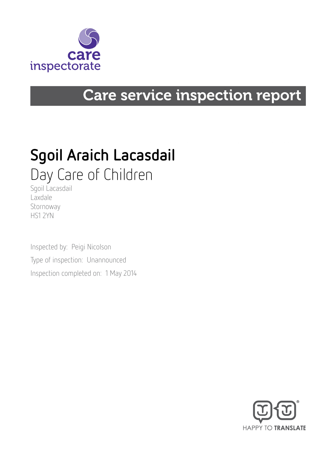

# Care service inspection report

# Sgoil Araich Lacasdail Day Care of Children

Sgoil Lacasdail Laxdale Stornoway HS1 2YN

Inspected by: Peigi Nicolson Type of inspection: Unannounced Inspection completed on: 1 May 2014

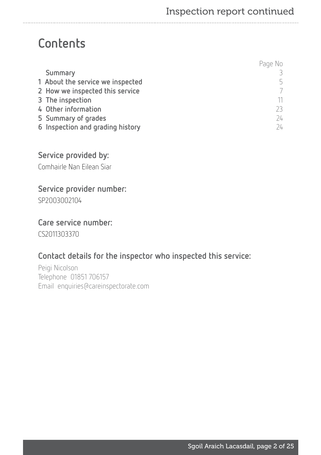# **Contents**

|                                  | Page No      |
|----------------------------------|--------------|
| Summary                          |              |
| 1 About the service we inspected | 5            |
| 2 How we inspected this service  |              |
| 3 The inspection                 |              |
| 4 Other information              |              |
| 5 Summary of grades              | $74^{\circ}$ |
| 6 Inspection and grading history | 24           |

# Service provided by:

Comhairle Nan Eilean Siar

## Service provider number:

SP2003002104

## Care service number:

CS2011303370

# Contact details for the inspector who inspected this service:

Peigi Nicolson Telephone 01851 706157 Email enquiries@careinspectorate.com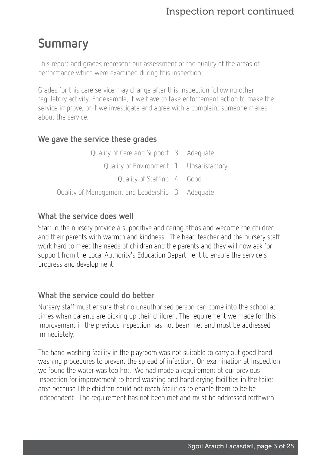# <span id="page-2-0"></span>Summary

This report and grades represent our assessment of the quality of the areas of performance which were examined during this inspection.

Grades for this care service may change after this inspection following other regulatory activity. For example, if we have to take enforcement action to make the service improve, or if we investigate and agree with a complaint someone makes about the service.

# We gave the service these grades

| Quality of Care and Support 3 Adequate          |  |
|-------------------------------------------------|--|
| Quality of Environment 1 Unsatisfactory         |  |
| Quality of Staffing 4 Good                      |  |
| Quality of Management and Leadership 3 Adequate |  |

## What the service does well

Staff in the nursery provide a supportive and caring ethos and wecome the children and their parents with warmth and kindness. The head teacher and the nursery staff work hard to meet the needs of children and the parents and they will now ask for support from the Local Authority's Education Department to ensure the service's progress and development.

## What the service could do better

Nursery staff must ensure that no unauthorised person can come into the school at times when parents are picking up their children. The requirement we made for this improvement in the previous inspection has not been met and must be addressed immediately.

The hand washing facility in the playroom was not suitable to carry out good hand washing procedures to prevent the spread of infection. On examination at inspection we found the water was too hot. We had made a requirement at our previous inspection for improvement to hand washing and hand drying facilities in the toilet area because little children could not reach facilities to enable them to be be independent. The requirement has not been met and must be addressed forthwith.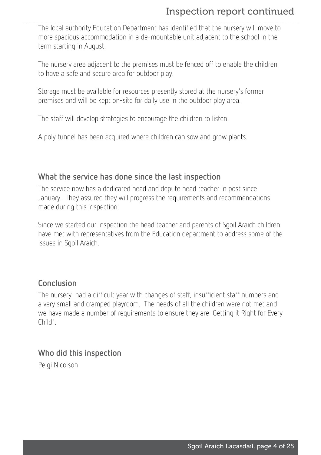# Inspection report continued

The local authority Education Department has identified that the nursery will move to more spacious accommodation in a de-mountable unit adjacent to the school in the term starting in August.

The nursery area adjacent to the premises must be fenced off to enable the children to have a safe and secure area for outdoor play.

Storage must be available for resources presently stored at the nursery's former premises and will be kept on-site for daily use in the outdoor play area.

The staff will develop strategies to encourage the children to listen.

A poly tunnel has been acquired where children can sow and grow plants.

## What the service has done since the last inspection

The service now has a dedicated head and depute head teacher in post since January. They assured they will progress the requirements and recommendations made during this inspection.

Since we started our inspection the head teacher and parents of Sgoil Araich children have met with representatives from the Education department to address some of the issues in Sgoil Araich.

## Conclusion

The nursery had a difficult year with changes of staff, insufficient staff numbers and a very small and cramped playroom. The needs of all the children were not met and we have made a number of requirements to ensure they are 'Getting it Right for Every Child".

## Who did this inspection

Peigi Nicolson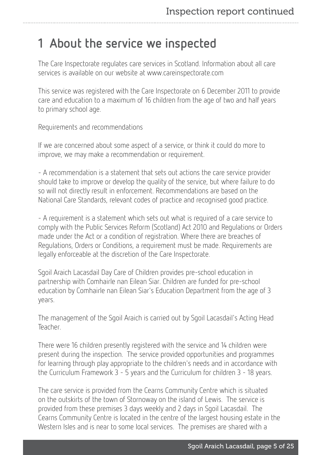# <span id="page-4-0"></span>1 About the service we inspected

The Care Inspectorate regulates care services in Scotland. Information about all care services is available on our website at www.careinspectorate.com

This service was registered with the Care Inspectorate on 6 December 2011 to provide care and education to a maximum of 16 children from the age of two and half years to primary school age.

Requirements and recommendations

If we are concerned about some aspect of a service, or think it could do more to improve, we may make a recommendation or requirement.

- A recommendation is a statement that sets out actions the care service provider should take to improve or develop the quality of the service, but where failure to do so will not directly result in enforcement. Recommendations are based on the National Care Standards, relevant codes of practice and recognised good practice.

- A requirement is a statement which sets out what is required of a care service to comply with the Public Services Reform (Scotland) Act 2010 and Regulations or Orders made under the Act or a condition of registration. Where there are breaches of Regulations, Orders or Conditions, a requirement must be made. Requirements are legally enforceable at the discretion of the Care Inspectorate.

Sgoil Araich Lacasdail Day Care of Children provides pre-school education in partnership with Comhairle nan Eilean Siar. Children are funded for pre-school education by Comhairle nan Eilean Siar's Education Department from the age of 3 years.

The management of the Sgoil Araich is carried out by Sgoil Lacasdail's Acting Head Teacher.

There were 16 children presently registered with the service and 14 children were present during the inspection. The service provided opportunities and programmes for learning through play appropriate to the children's needs and in accordance with the Curriculum Framework 3 - 5 years and the Curriculum for children 3 - 18 years.

The care service is provided from the Cearns Community Centre which is situated on the outskirts of the town of Stornoway on the island of Lewis. The service is provided from these premises 3 days weekly and 2 days in Sgoil Lacasdail. The Cearns Community Centre is located in the centre of the largest housing estate in the Western Isles and is near to some local services. The premises are shared with a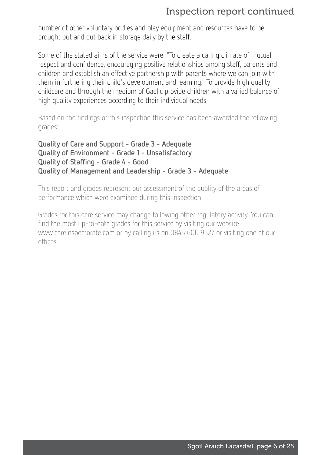# Inspection report continued

number of other voluntary bodies and play equipment and resources have to be brought out and put back in storage daily by the staff.

Some of the stated aims of the service were: "To create a caring climate of mutual respect and confidence, encouraging positive relationships among staff, parents and children and establish an effective partnership with parents where we can join with them in furthering their child's development and learning. To provide high quality childcare and through the medium of Gaelic provide children with a varied balance of high quality experiences according to their individual needs."

Based on the findings of this inspection this service has been awarded the following grades:

```
Quality of Care and Support - Grade 3 - Adequate
Quality of Environment - Grade 1 - Unsatisfactory
Quality of Staffing - Grade 4 - Good
Quality of Management and Leadership - Grade 3 - Adequate
```
This report and grades represent our assessment of the quality of the areas of performance which were examined during this inspection.

Grades for this care service may change following other regulatory activity. You can find the most up-to-date grades for this service by visiting our website www.careinspectorate.com or by calling us on 0845 600 9527 or visiting one of our offices.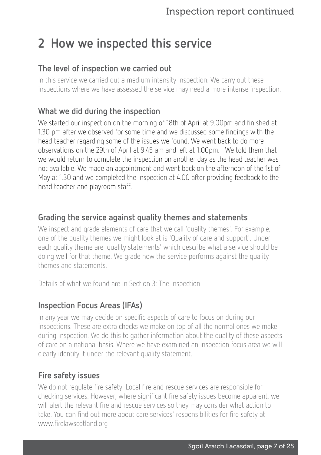# <span id="page-6-0"></span>2 How we inspected this service

# The level of inspection we carried out

In this service we carried out a medium intensity inspection. We carry out these inspections where we have assessed the service may need a more intense inspection.

# What we did during the inspection

We started our inspection on the morning of 18th of April at 9.00pm and finished at 1.30 pm after we observed for some time and we discussed some findings with the head teacher regarding some of the issues we found. We went back to do more observations on the 29th of April at 9.45 am and left at 1.00pm. We told them that we would return to complete the inspection on another day as the head teacher was not available. We made an appointment and went back on the afternoon of the 1st of May at 1.30 and we completed the inspection at 4.00 after providing feedback to the head teacher and playroom staff.

# Grading the service against quality themes and statements

We inspect and grade elements of care that we call 'quality themes'. For example, one of the quality themes we might look at is 'Quality of care and support'. Under each quality theme are 'quality statements' which describe what a service should be doing well for that theme. We grade how the service performs against the quality themes and statements.

Details of what we found are in Section 3: The inspection

# Inspection Focus Areas (IFAs)

In any year we may decide on specific aspects of care to focus on during our inspections. These are extra checks we make on top of all the normal ones we make during inspection. We do this to gather information about the quality of these aspects of care on a national basis. Where we have examined an inspection focus area we will clearly identify it under the relevant quality statement.

# Fire safety issues

We do not regulate fire safety. Local fire and rescue services are responsible for checking services. However, where significant fire safety issues become apparent, we will alert the relevant fire and rescue services so they may consider what action to take. You can find out more about care services' responsibilities for fire safety at www.firelawscotland.org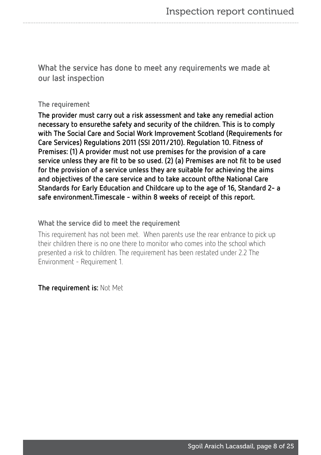What the service has done to meet any requirements we made at our last inspection

#### The requirement

The provider must carry out a risk assessment and take any remedial action necessary to ensurethe safety and security of the children. This is to comply with The Social Care and Social Work Improvement Scotland (Requirements for Care Services) Regulations 2011 (SSI 2011/210). Regulation 10. Fitness of Premises: (1) A provider must not use premises for the provision of a care service unless they are fit to be so used. (2) (a) Premises are not fit to be used for the provision of a service unless they are suitable for achieving the aims and objectives of the care service and to take account ofthe National Care Standards for Early Education and Childcare up to the age of 16, Standard 2- a safe environment.Timescale - within 8 weeks of receipt of this report.

#### What the service did to meet the requirement

This requirement has not been met. When parents use the rear entrance to pick up their children there is no one there to monitor who comes into the school which presented a risk to children. The requirement has been restated under 2.2 The Environment - Requirement 1.

The requirement is: Not Met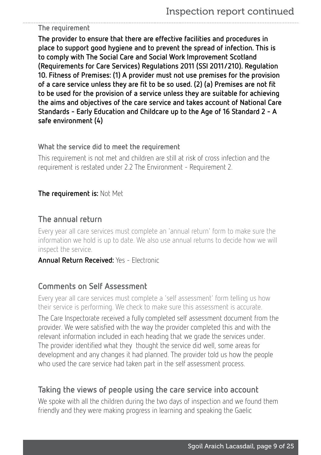#### The requirement

The provider to ensure that there are effective facilities and procedures in place to support good hygiene and to prevent the spread of infection. This is to comply with The Social Care and Social Work Improvement Scotland (Requirements for Care Services) Regulations 2011 (SSI 2011/210). Regulation 10. Fitness of Premises: (1) A provider must not use premises for the provision of a care service unless they are fit to be so used. (2) (a) Premises are not fit to be used for the provision of a service unless they are suitable for achieving the aims and objectives of the care service and takes account of National Care Standards - Early Education and Childcare up to the Age of 16 Standard 2 - A safe environment (4)

#### What the service did to meet the requirement

This requirement is not met and children are still at risk of cross infection and the requirement is restated under 2.2 The Environment - Requirement 2.

## The requirement is: Not Met

## The annual return

Every year all care services must complete an 'annual return' form to make sure the information we hold is up to date. We also use annual returns to decide how we will inspect the service.

#### Annual Return Received: Yes - Electronic

## Comments on Self Assessment

Every year all care services must complete a 'self assessment' form telling us how their service is performing. We check to make sure this assessment is accurate.

The Care Inspectorate received a fully completed self assessment document from the provider. We were satisfied with the way the provider completed this and with the relevant information included in each heading that we grade the services under. The provider identified what they thought the service did well, some areas for development and any changes it had planned. The provider told us how the people who used the care service had taken part in the self assessment process.

## Taking the views of people using the care service into account

We spoke with all the children during the two days of inspection and we found them friendly and they were making progress in learning and speaking the Gaelic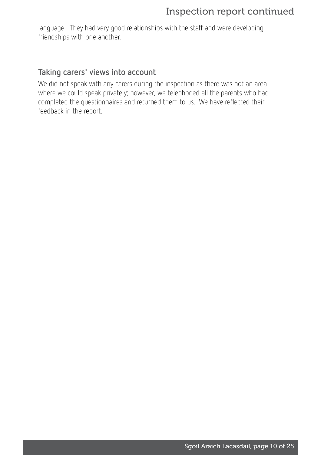language. They had very good relationships with the staff and were developing friendships with one another.

# Taking carers' views into account

We did not speak with any carers during the inspection as there was not an area where we could speak privately; however, we telephoned all the parents who had completed the questionnaires and returned them to us. We have reflected their feedback in the report.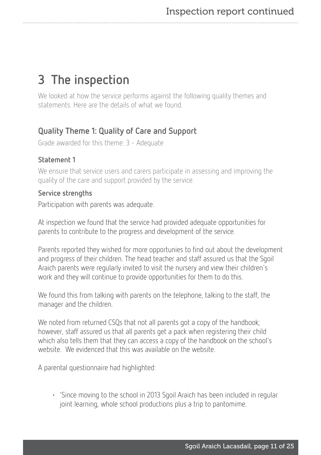# <span id="page-10-0"></span>3 The inspection

We looked at how the service performs against the following quality themes and statements. Here are the details of what we found.

# Quality Theme 1: Quality of Care and Support

Grade awarded for this theme: 3 - Adequate

## Statement 1

We ensure that service users and carers participate in assessing and improving the quality of the care and support provided by the service.

### Service strengths

Participation with parents was adequate.

At inspection we found that the service had provided adequate opportunities for parents to contribute to the progress and development of the service.

Parents reported they wished for more opportunies to find out about the development and progress of their children. The head teacher and staff assured us that the Sgoil Araich parents were regularly invited to visit the nursery and view their children's work and they will continue to provide opportunities for them to do this.

We found this from talking with parents on the telephone, talking to the staff, the manager and the children.

We noted from returned CSQs that not all parents got a copy of the handbook; however, staff assured us that all parents get a pack when registering their child which also tells them that they can access a copy of the handbook on the school's website. We evidenced that this was available on the website.

A parental questionnaire had highlighted:

• 'Since moving to the school in 2013 Sgoil Araich has been included in regular joint learning, whole school productions plus a trip to pantomime.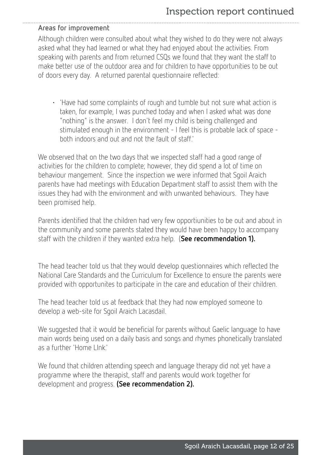#### Areas for improvement

Although children were consulted about what they wished to do they were not always asked what they had learned or what they had enjoyed about the activities. From speaking with parents and from returned CSQs we found that they want the staff to make better use of the outdoor area and for children to have opportunities to be out of doors every day. A returned parental questionnaire reflected:

• 'Have had some complaints of rough and tumble but not sure what action is taken, for example, I was punched today and when I asked what was done "nothing" is the answer. I don't feel my child is being challenged and stimulated enough in the environment - I feel this is probable lack of space both indoors and out and not the fault of staff.'

We observed that on the two days that we inspected staff had a good range of activities for the children to complete; however, they did spend a lot of time on behaviour mangement. Since the inspection we were informed that Sgoil Araich parents have had meetings with Education Department staff to assist them with the issues they had with the environment and with unwanted behaviours. They have been promised help.

Parents identified that the children had very few opportiunities to be out and about in the community and some parents stated they would have been happy to accompany staff with the children if they wanted extra help. (See recommendation 1).

The head teacher told us that they would develop questionnaires which reflected the National Care Standards and the Curriculum for Excellence to ensure the parents were provided with opportunites to participate in the care and education of their children.

The head teacher told us at feedback that they had now employed someone to develop a web-site for Sgoil Araich Lacasdail.

We suggested that it would be beneficial for parents without Gaelic language to have main words being used on a daily basis and songs and rhymes phonetically translated as a further 'Home LInk.'

We found that children attending speech and language therapy did not yet have a programme where the therapist, staff and parents would work together for development and progress. (See recommendation 2).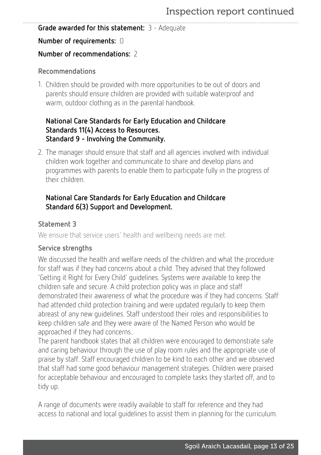#### Grade awarded for this statement: 3 - Adequate

#### Number of requirements: 0

## Number of recommendations: 2

### Recommendations

1. Children should be provided with more opportunities to be out of doors and parents should ensure children are provided with suitable waterproof and warm, outdoor clothing as in the parental handbook.

## National Care Standards for Early Education and Childcare Standards 11(4) Access to Resources. Standard 9 - Involving the Community.

2. The manager should ensure that staff and all agencies involved with individual children work together and communicate to share and develop plans and programmes with parents to enable them to participate fully in the progress of their children.

## National Care Standards for Early Education and Childcare Standard 6(3) Support and Development.

## Statement 3

We ensure that service users' health and wellbeing needs are met.

### Service strengths

We discussed the health and welfare needs of the children and what the procedure for staff was if they had concerns about a child. They advised that they followed 'Getting it Right for Every Child' guidelines. Systems were available to keep the children safe and secure. A child protection policy was in place and staff demonstrated their awareness of what the procedure was if they had concerns. Staff had attended child protection training and were updated regularly to keep them abreast of any new guidelines. Staff understood their roles and responsibilities to keep children safe and they were aware of the Named Person who would be approached if they had concerns..

The parent handbook states that all children were encouraged to demonstrate safe and caring behaviour through the use of play room rules and the appropriate use of praise by staff. Staff encouraged children to be kind to each other and we observed that staff had some good behaviour management strategies. Children were praised for acceptable behaviour and encouraged to complete tasks they started off, and to tidy up.

A range of documents were readily available to staff for reference and they had access to national and local guidelines to assist them in planning for the curriculum.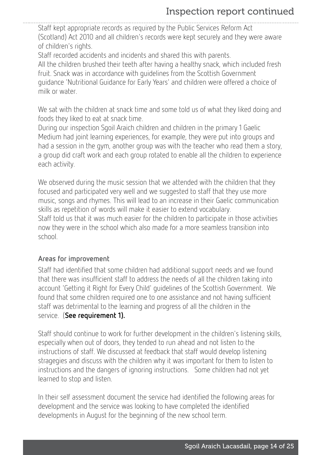Staff kept appropriate records as required by the Public Services Reform Act (Scotland) Act 2010 and all children's records were kept securely and they were aware of children's rights.

Staff recorded accidents and incidents and shared this with parents. All the children brushed their teeth after having a healthy snack, which included fresh fruit. Snack was in accordance with guidelines from the Scottish Government guidance 'Nutritional Guidance for Early Years' and children were offered a choice of milk or water.

We sat with the children at snack time and some told us of what they liked doing and foods they liked to eat at snack time.

During our inspection Sgoil Araich children and children in the primary 1 Gaelic Medium had joint learning experiences, for example, they were put into groups and had a session in the gym, another group was with the teacher who read them a story, a group did craft work and each group rotated to enable all the children to experience each activity.

We observed during the music session that we attended with the children that they focused and participated very well and we suggested to staff that they use more music, songs and rhymes. This will lead to an increase in their Gaelic communication skills as repetition of words will make it easier to extend vocabulary. Staff told us that it was much easier for the children to participate in those activities now they were in the school which also made for a more seamless transition into school.

#### Areas for improvement

Staff had identified that some children had additional support needs and we found that there was insufficient staff to address the needs of all the children taking into account 'Getting it Right for Every Child' guidelines of the Scottish Government. We found that some children required one to one assistance and not having sufficient staff was detrimental to the learning and progress of all the children in the service. (See requirement 1).

Staff should continue to work for further development in the children's listening skills, especially when out of doors, they tended to run ahead and not listen to the instructions of staff. We discussed at feedback that staff would develop listening stragegies and discuss with the children why it was important for them to listen to instructions and the dangers of ignoring instructions. Some children had not yet learned to stop and listen.

In their self assessment document the service had identified the following areas for development and the service was looking to have completed the identified developments in August for the beginning of the new school term.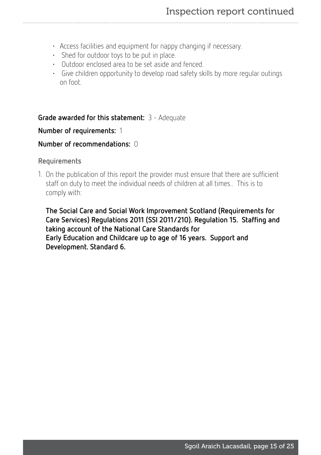- Access facilities and equipment for nappy changing if necessary.
- Shed for outdoor toys to be put in place.
- Outdoor enclosed area to be set aside and fenced.
- Give children opportunity to develop road safety skills by more regular outings on foot.

#### Grade awarded for this statement: 3 - Adequate

#### Number of requirements: 1

#### Number of recommendations: 0

#### Requirements

1. On the publication of this report the provider must ensure that there are sufficient staff on duty to meet the individual needs of children at all times.. This is to comply with:

The Social Care and Social Work Improvement Scotland (Requirements for Care Services) Regulations 2011 (SSI 2011/210). Regulation 15. Staffing and taking account of the National Care Standards for Early Education and Childcare up to age of 16 years. Support and Development. Standard 6.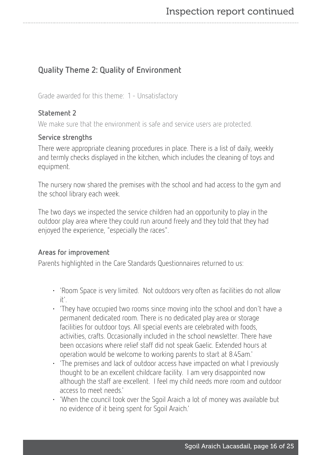# Quality Theme 2: Quality of Environment

Grade awarded for this theme: 1 - Unsatisfactory

### Statement 2

We make sure that the environment is safe and service users are protected.

#### Service strengths

There were appropriate cleaning procedures in place. There is a list of daily, weekly and termly checks displayed in the kitchen, which includes the cleaning of toys and equipment.

The nursery now shared the premises with the school and had access to the gym and the school library each week.

The two days we inspected the service children had an opportunity to play in the outdoor play area where they could run around freely and they told that they had enjoyed the experience, "especially the races".

### Areas for improvement

Parents highlighted in the Care Standards Questionnaires returned to us:

- 'Room Space is very limited. Not outdoors very often as facilities do not allow it'.
- 'They have occupied two rooms since moving into the school and don't have a permanent dedicated room. There is no dedicated play area or storage facilities for outdoor toys. All special events are celebrated with foods, activities, crafts. Occasionally included in the school newsletter. There have been occasions where relief staff did not speak Gaelic. Extended hours at operation would be welcome to working parents to start at 8.45am.'
- 'The premises and lack of outdoor access have impacted on what I previously thought to be an excellent childcare facility. I am very disappointed now although the staff are excellent. I feel my child needs more room and outdoor access to meet needs.'
- 'When the council took over the Sgoil Araich a lot of money was available but no evidence of it being spent for Sgoil Araich.'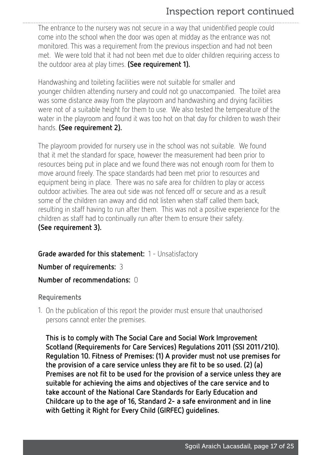# Inspection report continued

The entrance to the nursery was not secure in a way that unidentified people could come into the school when the door was open at midday as the entrance was not monitored. This was a requirement from the previous inspection and had not been met. We were told that it had not been met due to older children requiring access to the outdoor area at play times. (See requirement 1).

Handwashing and toileting facilities were not suitable for smaller and younger children attending nursery and could not go unaccompanied. The toilet area was some distance away from the playroom and handwashing and drying facilities were not of a suitable height for them to use. We also tested the temperature of the water in the playroom and found it was too hot on that day for children to wash their hands. (See requirement 2).

The playroom provided for nursery use in the school was not suitable. We found that it met the standard for space, however the measurement had been prior to resources being put in place and we found there was not enough room for them to move around freely. The space standards had been met prior to resources and equipment being in place. There was no safe area for children to play or access outdoor activities. The area out side was not fenced off or secure and as a result some of the children ran away and did not listen when staff called them back, resulting in staff having to run after them. This was not a positive experience for the children as staff had to continually run after them to ensure their safety. (See requirement 3).

Grade awarded for this statement: 1 - Unsatisfactory

Number of requirements: 3

#### Number of recommendations: 0

#### Requirements

1. On the publication of this report the provider must ensure that unauthorised persons cannot enter the premises.

This is to comply with The Social Care and Social Work Improvement Scotland (Requirements for Care Services) Regulations 2011 (SSI 2011/210). Regulation 10. Fitness of Premises: (1) A provider must not use premises for the provision of a care service unless they are fit to be so used. (2) (a) Premises are not fit to be used for the provision of a service unless they are suitable for achieving the aims and objectives of the care service and to take account of the National Care Standards for Early Education and Childcare up to the age of 16, Standard 2- a safe environment and in line with Getting it Right for Every Child (GIRFEC) guidelines.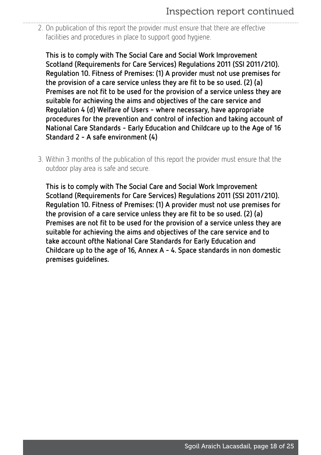2. On publication of this report the provider must ensure that there are effective facilities and procedures in place to support good hygiene.

This is to comply with The Social Care and Social Work Improvement Scotland (Requirements for Care Services) Regulations 2011 (SSI 2011/210). Regulation 10. Fitness of Premises: (1) A provider must not use premises for the provision of a care service unless they are fit to be so used. (2) (a) Premises are not fit to be used for the provision of a service unless they are suitable for achieving the aims and objectives of the care service and Regulation 4 (d) Welfare of Users - where necessary, have appropriate procedures for the prevention and control of infection and taking account of National Care Standards - Early Education and Childcare up to the Age of 16 Standard 2 - A safe environment (4)

3. Within 3 months of the publication of this report the provider must ensure that the outdoor play area is safe and secure.

This is to comply with The Social Care and Social Work Improvement Scotland (Requirements for Care Services) Regulations 2011 (SSI 2011/210). Regulation 10. Fitness of Premises: (1) A provider must not use premises for the provision of a care service unless they are fit to be so used. (2) (a) Premises are not fit to be used for the provision of a service unless they are suitable for achieving the aims and objectives of the care service and to take account ofthe National Care Standards for Early Education and Childcare up to the age of 16, Annex A - 4. Space standards in non domestic premises guidelines.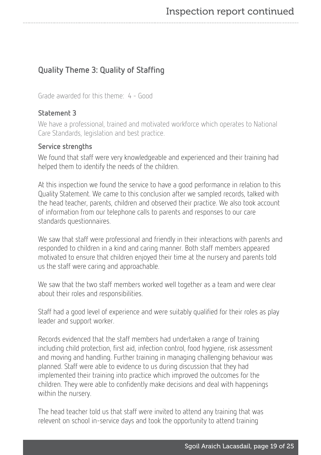# Quality Theme 3: Quality of Staffing

Grade awarded for this theme: 4 - Good

### Statement 3

We have a professional, trained and motivated workforce which operates to National Care Standards, legislation and best practice.

#### Service strengths

We found that staff were very knowledgeable and experienced and their training had helped them to identify the needs of the children.

At this inspection we found the service to have a good performance in relation to this Quality Statement. We came to this conclusion after we sampled records, talked with the head teacher, parents, children and observed their practice. We also took account of information from our telephone calls to parents and responses to our care standards questionnaires.

We saw that staff were professional and friendly in their interactions with parents and responded to children in a kind and caring manner. Both staff members appeared motivated to ensure that children enjoyed their time at the nursery and parents told us the staff were caring and approachable.

We saw that the two staff members worked well together as a team and were clear about their roles and responsibilities.

Staff had a good level of experience and were suitably qualified for their roles as play leader and support worker.

Records evidenced that the staff members had undertaken a range of training including child protection, first aid, infection control, food hygiene, risk assessment and moving and handling. Further training in managing challenging behaviour was planned. Staff were able to evidence to us during discussion that they had implemented their training into practice which improved the outcomes for the children. They were able to confidently make decisions and deal with happenings within the nursery.

The head teacher told us that staff were invited to attend any training that was relevent on school in-service days and took the opportunity to attend training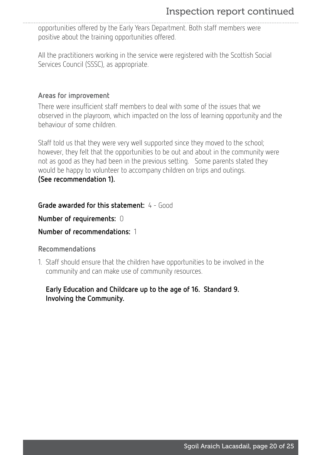opportunities offered by the Early Years Department. Both staff members were positive about the training opportunities offered.

All the practitioners working in the service were registered with the Scottish Social Services Council (SSSC), as appropriate.

### Areas for improvement

There were insufficient staff members to deal with some of the issues that we observed in the playroom, which impacted on the loss of learning opportunity and the behaviour of some children.

Staff told us that they were very well supported since they moved to the school; however, they felt that the opportunities to be out and about in the community were not as good as they had been in the previous setting. Some parents stated they would be happy to volunteer to accompany children on trips and outings. (See recommendation 1).

Grade awarded for this statement: 4 - Good

Number of requirements: 0

### Number of recommendations: 1

#### Recommendations

1. Staff should ensure that the children have opportunities to be involved in the community and can make use of community resources.

### Early Education and Childcare up to the age of 16. Standard 9. Involving the Community.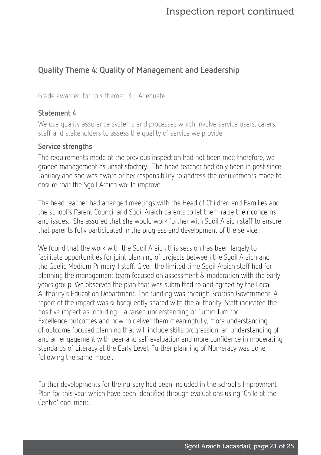# Quality Theme 4: Quality of Management and Leadership

Grade awarded for this theme: 3 - Adequate

#### Statement 4

We use quality assurance systems and processes which involve service users, carers, staff and stakeholders to assess the quality of service we provide

#### Service strengths

The requirements made at the previous inspection had not been met; therefore, we graded management as unsatisfactory. The head teacher had only been in post since January and she was aware of her responsibility to address the requirements made to ensure that the Sgoil Araich would improve.

The head teacher had arranged meetings with the Head of Children and Families and the school's Parent Council and Sgoil Araich parents to let them raise their concerns and issues. She assured that she would work further with Sgoil Araich staff to ensure that parents fully participated in the progress and development of the service.

We found that the work with the Sgoil Araich this session has been largely to facilitate opportunities for joint planning of projects between the Sgoil Araich and the Gaelic Medium Primary 1 staff. Given the limited time Sgoil Araich staff had for planning the management team focused on assessment & moderation with the early years group. We observed the plan that was submitted to and agreed by the Local Authority's Education Department. The funding was through Scottish Government. A report of the impact was subsequently shared with the authority. Staff indicated the positive impact as including - a raised understanding of Curriculum for Excellence outcomes and how to deliver them meaningfully, more understanding of outcome focused planning that will include skills progression, an understanding of and an engagement with peer and self evaluation and more confidence in moderating standards of Literacy at the Early Level. Further planning of Numeracy was done, following the same model.

Further developments for the nursery had been included in the school's Improvment Plan for this year which have been identified through evaluations using 'Child at the Centre' document.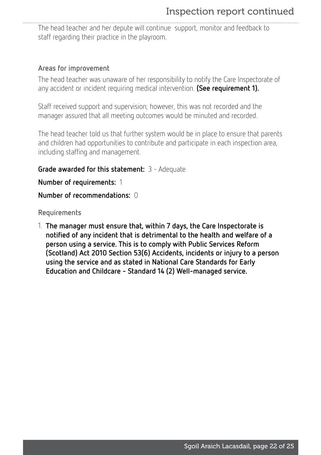The head teacher and her depute will continue support, monitor and feedback to staff regarding their practice in the playroom.

#### Areas for improvement

The head teacher was unaware of her responsibility to notify the Care Inspectorate of any accident or incident requiring medical intervention. (See requirement 1).

Staff received support and supervision; however, this was not recorded and the manager assured that all meeting outcomes would be minuted and recorded.

The head teacher told us that further system would be in place to ensure that parents and children had opportunities to contribute and participate in each inspection area, including staffing and management.

### Grade awarded for this statement: 3 - Adequate

Number of requirements: 1

#### Number of recommendations: 0

Requirements

1. The manager must ensure that, within 7 days, the Care Inspectorate is notified of any incident that is detrimental to the health and welfare of a person using a service. This is to comply with Public Services Reform (Scotland) Act 2010 Section 53(6) Accidents, incidents or injury to a person using the service and as stated in National Care Standards for Early Education and Childcare - Standard 14 (2) Well-managed service.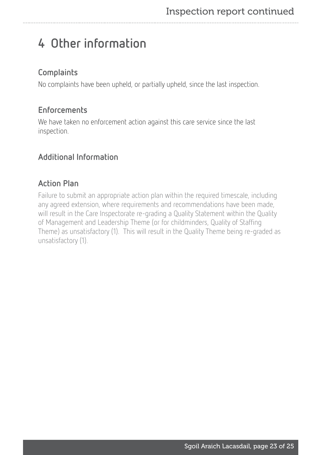# <span id="page-22-0"></span>4 Other information

# **Complaints**

No complaints have been upheld, or partially upheld, since the last inspection.

# **Enforcements**

We have taken no enforcement action against this care service since the last inspection.

# Additional Information

# Action Plan

Failure to submit an appropriate action plan within the required timescale, including any agreed extension, where requirements and recommendations have been made, will result in the Care Inspectorate re-grading a Quality Statement within the Quality of Management and Leadership Theme (or for childminders, Quality of Staffing Theme) as unsatisfactory (1). This will result in the Quality Theme being re-graded as unsatisfactory (1).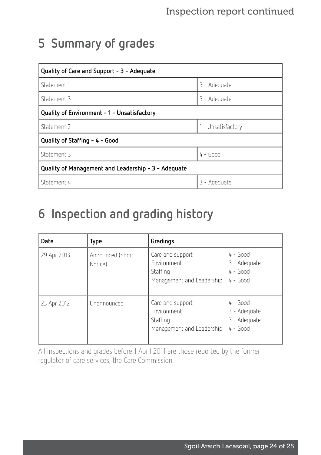# <span id="page-23-0"></span>5 Summary of grades

| Quality of Care and Support - 3 - Adequate          |                    |  |  |  |  |
|-----------------------------------------------------|--------------------|--|--|--|--|
| Statement 1                                         | 3 - Adequate       |  |  |  |  |
| Statement 3                                         | 3 - Adequate       |  |  |  |  |
| Quality of Environment - 1 - Unsatisfactory         |                    |  |  |  |  |
| Statement 2                                         | 1 - Unsatisfactory |  |  |  |  |
| Quality of Staffing - 4 - Good                      |                    |  |  |  |  |
| Statement 3                                         | $4 - Good$         |  |  |  |  |
| Quality of Management and Leadership - 3 - Adequate |                    |  |  |  |  |
| Statement 4                                         | 3 - Adequate       |  |  |  |  |

# <span id="page-23-1"></span>6 Inspection and grading history

| Date        | Type                        | Gradings                                                                 |                                                          |
|-------------|-----------------------------|--------------------------------------------------------------------------|----------------------------------------------------------|
| 29 Apr 2013 | Announced (Short<br>Notice) | Care and support<br>Environment<br>Staffing<br>Management and Leadership | $4 - Good$<br>3 - Adequate<br>$4 - Good$<br>$4 - Good$   |
| 23 Apr 2012 | Unannounced                 | Care and support<br>Environment<br>Staffing<br>Management and Leadership | $4 - Good$<br>3 - Adequate<br>3 - Adequate<br>$4 - Good$ |

All inspections and grades before 1 April 2011 are those reported by the former regulator of care services, the Care Commission.